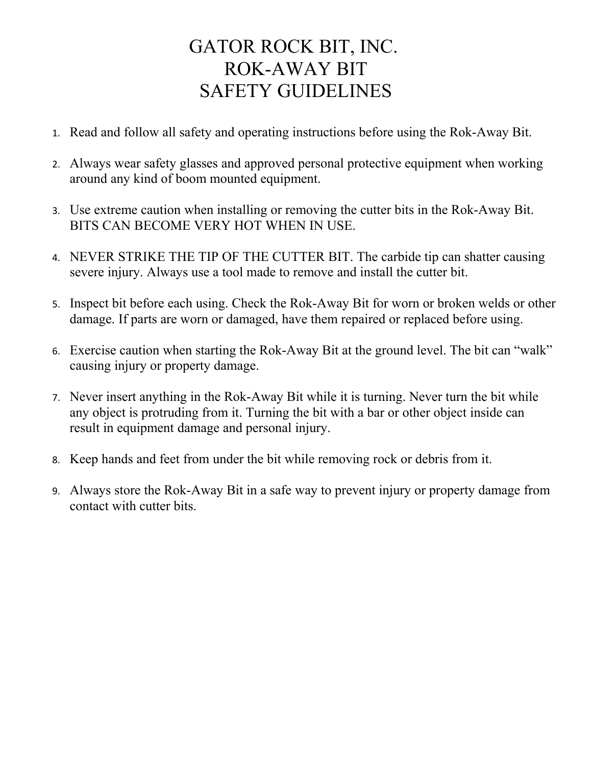## GATOR ROCK BIT, INC. ROK-AWAY BIT SAFETY GUIDELINES

- 1. Read and follow all safety and operating instructions before using the Rok-Away Bit.
- 2. Always wear safety glasses and approved personal protective equipment when working around any kind of boom mounted equipment.
- 3. Use extreme caution when installing or removing the cutter bits in the Rok-Away Bit. BITS CAN BECOME VERY HOT WHEN IN USE.
- 4. NEVER STRIKE THE TIP OF THE CUTTER BIT. The carbide tip can shatter causing severe injury. Always use a tool made to remove and install the cutter bit.
- 5. Inspect bit before each using. Check the Rok-Away Bit for worn or broken welds or other damage. If parts are worn or damaged, have them repaired or replaced before using.
- 6. Exercise caution when starting the Rok-Away Bit at the ground level. The bit can "walk" causing injury or property damage.
- 7. Never insert anything in the Rok-Away Bit while it is turning. Never turn the bit while any object is protruding from it. Turning the bit with a bar or other object inside can result in equipment damage and personal injury.
- 8. Keep hands and feet from under the bit while removing rock or debris from it.
- 9. Always store the Rok-Away Bit in a safe way to prevent injury or property damage from contact with cutter bits.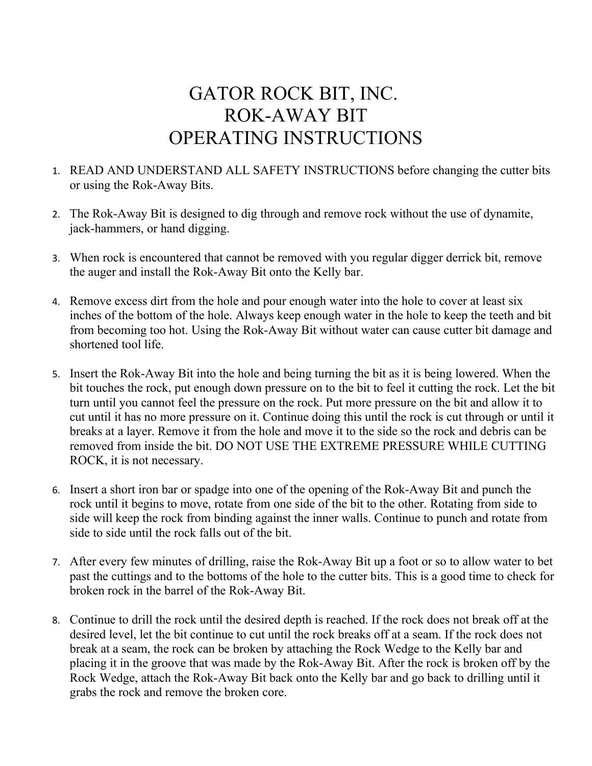## GATOR ROCK BIT, INC. ROK-AWAY BIT OPERATING INSTRUCTIONS

- 1. READ AND UNDERSTAND ALL SAFETY INSTRUCTIONS before changing the cutter bits or using the Rok-Away Bits.
- 2. The Rok-Away Bit is designed to dig through and remove rock without the use of dynamite, jack-hammers, or hand digging.
- 3. When rock is encountered that cannot be removed with you regular digger derrick bit, remove the auger and install the Rok-Away Bit onto the Kelly bar.
- 4. Remove excess dirt from the hole and pour enough water into the hole to cover at least six inches of the bottom of the hole. Always keep enough water in the hole to keep the teeth and bit from becoming too hot. Using the Rok-Away Bit without water can cause cutter bit damage and shortened tool life.
- 5. Insert the Rok-Away Bit into the hole and being turning the bit as it is being lowered. When the bit touches the rock, put enough down pressure on to the bit to feel it cutting the rock. Let the bit turn until you cannot feel the pressure on the rock. Put more pressure on the bit and allow it to cut until it has no more pressure on it. Continue doing this until the rock is cut through or until it breaks at a layer. Remove it from the hole and move it to the side so the rock and debris can be removed from inside the bit. DO NOT USE THE EXTREME PRESSURE WHILE CUTTING ROCK, it is not necessary.
- 6. Insert a short iron bar or spadge into one of the opening of the Rok-Away Bit and punch the rock until it begins to move, rotate from one side of the bit to the other. Rotating from side to side will keep the rock from binding against the inner walls. Continue to punch and rotate from side to side until the rock falls out of the bit.
- 7. After every few minutes of drilling, raise the Rok-Away Bit up a foot or so to allow water to bet past the cuttings and to the bottoms of the hole to the cutter bits. This is a good time to check for broken rock in the barrel of the Rok-Away Bit.
- 8. Continue to drill the rock until the desired depth is reached. If the rock does not break off at the desired level, let the bit continue to cut until the rock breaks off at a seam. If the rock does not break at a seam, the rock can be broken by attaching the Rock Wedge to the Kelly bar and placing it in the groove that was made by the Rok-Away Bit. After the rock is broken off by the Rock Wedge, attach the Rok-Away Bit back onto the Kelly bar and go back to drilling until it grabs the rock and remove the broken core.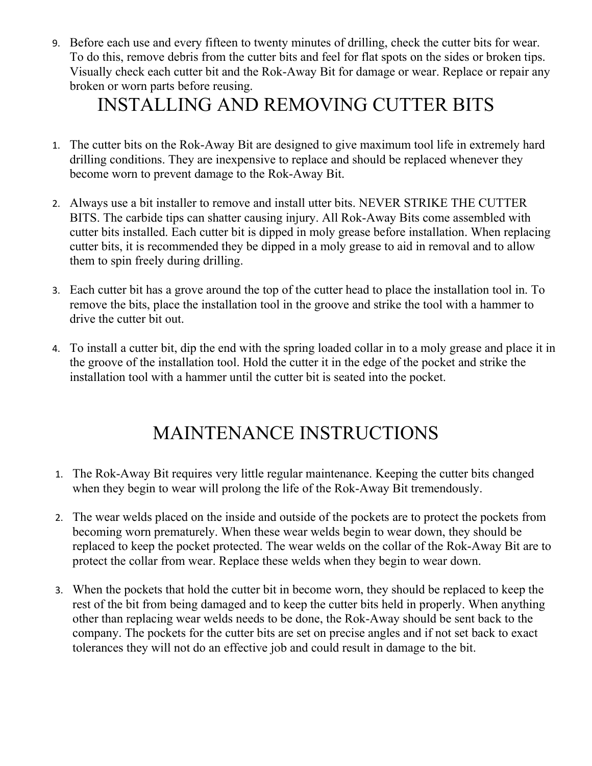9. Before each use and every fifteen to twenty minutes of drilling, check the cutter bits for wear. To do this, remove debris from the cutter bits and feel for flat spots on the sides or broken tips. Visually check each cutter bit and the Rok-Away Bit for damage or wear. Replace or repair any broken or worn parts before reusing.

#### INSTALLING AND REMOVING CUTTER BITS

- 1. The cutter bits on the Rok-Away Bit are designed to give maximum tool life in extremely hard drilling conditions. They are inexpensive to replace and should be replaced whenever they become worn to prevent damage to the Rok-Away Bit.
- 2. Always use a bit installer to remove and install utter bits. NEVER STRIKE THE CUTTER BITS. The carbide tips can shatter causing injury. All Rok-Away Bits come assembled with cutter bits installed. Each cutter bit is dipped in moly grease before installation. When replacing cutter bits, it is recommended they be dipped in a moly grease to aid in removal and to allow them to spin freely during drilling.
- 3. Each cutter bit has a grove around the top of the cutter head to place the installation tool in. To remove the bits, place the installation tool in the groove and strike the tool with a hammer to drive the cutter bit out.
- 4. To install a cutter bit, dip the end with the spring loaded collar in to a moly grease and place it in the groove of the installation tool. Hold the cutter it in the edge of the pocket and strike the installation tool with a hammer until the cutter bit is seated into the pocket.

## MAINTENANCE INSTRUCTIONS

- 1. The Rok-Away Bit requires very little regular maintenance. Keeping the cutter bits changed when they begin to wear will prolong the life of the Rok-Away Bit tremendously.
- 2. The wear welds placed on the inside and outside of the pockets are to protect the pockets from becoming worn prematurely. When these wear welds begin to wear down, they should be replaced to keep the pocket protected. The wear welds on the collar of the Rok-Away Bit are to protect the collar from wear. Replace these welds when they begin to wear down.
- 3. When the pockets that hold the cutter bit in become worn, they should be replaced to keep the rest of the bit from being damaged and to keep the cutter bits held in properly. When anything other than replacing wear welds needs to be done, the Rok-Away should be sent back to the company. The pockets for the cutter bits are set on precise angles and if not set back to exact tolerances they will not do an effective job and could result in damage to the bit.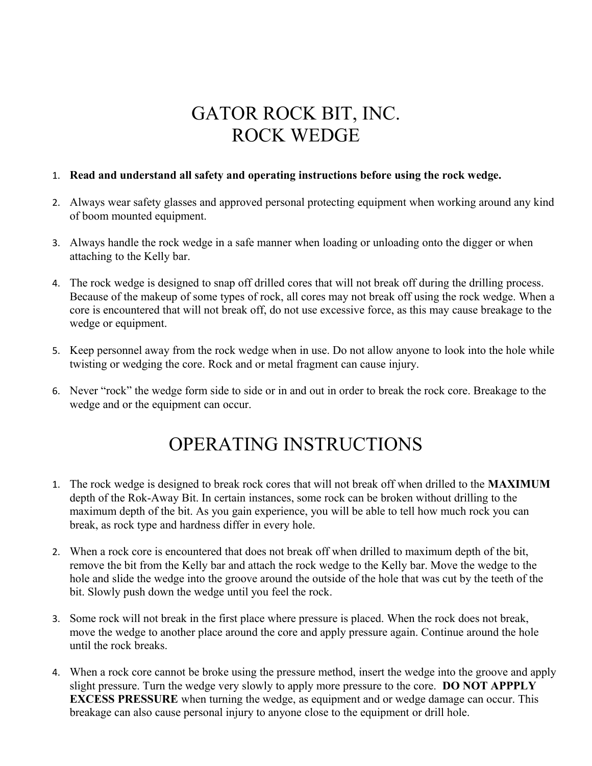## GATOR ROCK BIT, INC. ROCK WEDGE

#### 1. **Read and understand all safety and operating instructions before using the rock wedge.**

- 2. Always wear safety glasses and approved personal protecting equipment when working around any kind of boom mounted equipment.
- 3. Always handle the rock wedge in a safe manner when loading or unloading onto the digger or when attaching to the Kelly bar.
- 4. The rock wedge is designed to snap off drilled cores that will not break off during the drilling process. Because of the makeup of some types of rock, all cores may not break off using the rock wedge. When a core is encountered that will not break off, do not use excessive force, as this may cause breakage to the wedge or equipment.
- 5. Keep personnel away from the rock wedge when in use. Do not allow anyone to look into the hole while twisting or wedging the core. Rock and or metal fragment can cause injury.
- 6. Never "rock" the wedge form side to side or in and out in order to break the rock core. Breakage to the wedge and or the equipment can occur.

# OPERATING INSTRUCTIONS

- 1. The rock wedge is designed to break rock cores that will not break off when drilled to the **MAXIMUM**  depth of the Rok-Away Bit. In certain instances, some rock can be broken without drilling to the maximum depth of the bit. As you gain experience, you will be able to tell how much rock you can break, as rock type and hardness differ in every hole.
- 2. When a rock core is encountered that does not break off when drilled to maximum depth of the bit, remove the bit from the Kelly bar and attach the rock wedge to the Kelly bar. Move the wedge to the hole and slide the wedge into the groove around the outside of the hole that was cut by the teeth of the bit. Slowly push down the wedge until you feel the rock.
- 3. Some rock will not break in the first place where pressure is placed. When the rock does not break, move the wedge to another place around the core and apply pressure again. Continue around the hole until the rock breaks.
- 4. When a rock core cannot be broke using the pressure method, insert the wedge into the groove and apply slight pressure. Turn the wedge very slowly to apply more pressure to the core. **DO NOT APPPLY EXCESS PRESSURE** when turning the wedge, as equipment and or wedge damage can occur. This breakage can also cause personal injury to anyone close to the equipment or drill hole.